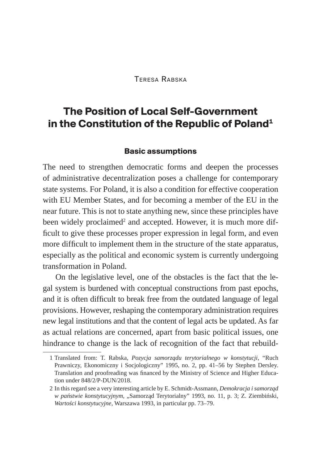#### Teresa Rabska

# **The Position of Local Self-Government in the Constitution of the Republic of Poland<sup>1</sup>**

#### **Basic assumptions**

The need to strengthen democratic forms and deepen the processes of administrative decentralization poses a challenge for contemporary state systems. For Poland, it is also a condition for effective cooperation with EU Member States, and for becoming a member of the EU in the near future. This is not to state anything new, since these principles have been widely proclaimed<sup>2</sup> and accepted. However, it is much more difficult to give these processes proper expression in legal form, and even more difficult to implement them in the structure of the state apparatus, especially as the political and economic system is currently undergoing transformation in Poland.

On the legislative level, one of the obstacles is the fact that the legal system is burdened with conceptual constructions from past epochs, and it is often difficult to break free from the outdated language of legal provisions. However, reshaping the contemporary administration requires new legal institutions and that the content of legal acts be updated. As far as actual relations are concerned, apart from basic political issues, one hindrance to change is the lack of recognition of the fact that rebuild-

<sup>1</sup> Translated from: T. Rabska, *Pozycja samorządu terytorialnego w konstytucji*, "Ruch Prawniczy, Ekonomiczny i Socjologiczny" 1995, no. 2, pp. 41–56 by Stephen Dersley. Translation and proofreading was financed by the Ministry of Science and Higher Education under 848/2/P-DUN/2018.

<sup>2</sup> In this regard see a very interesting article by E. Schmidt-Assmann, *Demokracja i samorząd w państwie konstytucyjnym*, "Samorząd Terytorialny" 1993, no. 11, p. 3; Z. Ziembiński, *Wartości konstytucyjne*, Warszawa 1993, in particular pp. 73–79.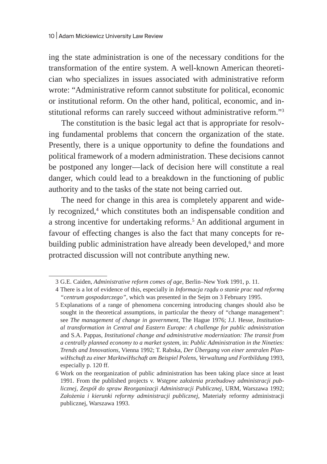ing the state administration is one of the necessary conditions for the transformation of the entire system. A well-known American theoretician who specializes in issues associated with administrative reform wrote: "Administrative reform cannot substitute for political, economic or institutional reform. On the other hand, political, economic, and institutional reforms can rarely succeed without administrative reform."3

The constitution is the basic legal act that is appropriate for resolving fundamental problems that concern the organization of the state. Presently, there is a unique opportunity to define the foundations and political framework of a modern administration. These decisions cannot be postponed any longer—lack of decision here will constitute a real danger, which could lead to a breakdown in the functioning of public authority and to the tasks of the state not being carried out.

The need for change in this area is completely apparent and widely recognized,<sup>4</sup> which constitutes both an indispensable condition and a strong incentive for undertaking reforms.<sup>5</sup> An additional argument in favour of effecting changes is also the fact that many concepts for rebuilding public administration have already been developed,<sup>6</sup> and more protracted discussion will not contribute anything new.

<sup>3</sup> G.E. Caiden, *Administrative reform comes of age*, Berlin–New York 1991, p. 11.

<sup>4</sup> There is a lot of evidence of this, especially in *Informacja rządu o stanie prac nad reformą "centrum gospodarczego"*, which was presented in the Sejm on 3 February 1995.

<sup>5</sup> Explanations of a range of phenomena concerning introducing changes should also be sought in the theoretical assumptions, in particular the theory of "change management": see *The management of change in government*, The Hague 1976; J.J. Hesse, *Institutional transformation in Central and Eastern Europe: A challenge for public administration* and S.A. Pappas, *Institutional change and administrative modernization: The transit from a centrally planned economy to a market system*, in: *Public Administration in the Nineties: Trends and Innovations*, Vienna 1992; T. Rabska, *Der Übergang von einer zentralen PlanwiHschuft zu einer MarktwiHschaft am Beispiel Polens, Verwaltung und Fortbildung* 1993, especially p. 120 ff.

<sup>6</sup> Work on the reorganization of public administration has been taking place since at least 1991. From the published projects v. *Wstępne założenia przebudowy administracji publicznej, Zespół do spraw Reorganizacji Administracji Publicznej*, URM, Warszawa 1992; *Założenia i kierunki reformy administracji publicznej*, Materiały reformy administracji publicznej, Warszawa 1993.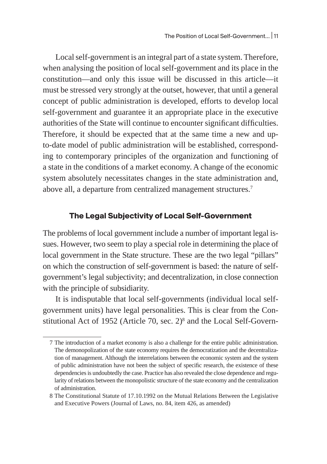Local self-government is an integral part of a state system. Therefore, when analysing the position of local self-government and its place in the constitution—and only this issue will be discussed in this article—it must be stressed very strongly at the outset, however, that until a general concept of public administration is developed, efforts to develop local self-government and guarantee it an appropriate place in the executive authorities of the State will continue to encounter significant difficulties. Therefore, it should be expected that at the same time a new and upto-date model of public administration will be established, corresponding to contemporary principles of the organization and functioning of a state in the conditions of a market economy. A change of the economic system absolutely necessitates changes in the state administration and, above all, a departure from centralized management structures.<sup>7</sup>

#### **The Legal Subjectivity of Local Self-Government**

The problems of local government include a number of important legal issues. However, two seem to play a special role in determining the place of local government in the State structure. These are the two legal "pillars" on which the construction of self-government is based: the nature of selfgovernment's legal subjectivity; and decentralization, in close connection with the principle of subsidiarity.

It is indisputable that local self-governments (individual local selfgovernment units) have legal personalities. This is clear from the Constitutional Act of 1952 (Article 70, sec. 2)<sup>8</sup> and the Local Self-Govern-

<sup>7</sup> The introduction of a market economy is also a challenge for the entire public administration. The demonopolization of the state economy requires the democratization and the decentralization of management. Although the interrelations between the economic system and the system of public administration have not been the subject of specific research, the existence of these dependencies is undoubtedly the case. Practice has also revealed the close dependence and regularity of relations between the monopolistic structure of the state economy and the centralization of administration.

<sup>8</sup> The Constitutional Statute of 17.10.1992 on the Mutual Relations Between the Legislative and Executive Powers (Journal of Laws, no. 84, item 426, as amended)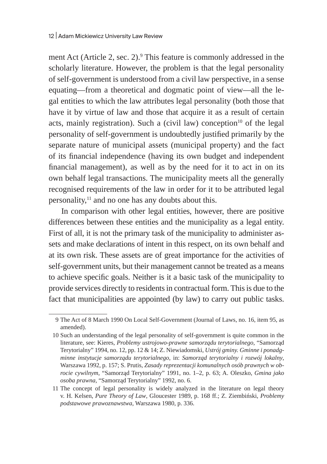ment Act (Article 2, sec. 2).<sup>9</sup> This feature is commonly addressed in the scholarly literature. However, the problem is that the legal personality of self-government is understood from a civil law perspective, in a sense equating—from a theoretical and dogmatic point of view—all the legal entities to which the law attributes legal personality (both those that have it by virtue of law and those that acquire it as a result of certain acts, mainly registration). Such a (civil law) conception $10$  of the legal personality of self-government is undoubtedly justified primarily by the separate nature of municipal assets (municipal property) and the fact of its financial independence (having its own budget and independent financial management), as well as by the need for it to act in on its own behalf legal transactions. The municipality meets all the generally recognised requirements of the law in order for it to be attributed legal personality, $11$  and no one has any doubts about this.

In comparison with other legal entities, however, there are positive differences between these entities and the municipality as a legal entity. First of all, it is not the primary task of the municipality to administer assets and make declarations of intent in this respect, on its own behalf and at its own risk. These assets are of great importance for the activities of self-government units, but their management cannot be treated as a means to achieve specific goals. Neither is it a basic task of the municipality to provide services directly to residents in contractual form. This is due to the fact that municipalities are appointed (by law) to carry out public tasks.

<sup>9</sup> The Act of 8 March 1990 On Local Self-Government (Journal of Laws, no. 16, item 95, as amended).

<sup>10</sup> Such an understanding of the legal personality of self-government is quite common in the literature, see: Kieres, *Problemy ustrojowo-prawne samorządu terytorialnego*, "Samorząd Terytorialny" 1994, no. 12, pp. 12 & 14; Z. Niewiadomski, *Ustrój gminy. Gminne i ponadgminne instytucje samorządu terytorialnego*, in: *Samorząd terytorialny i rozwój lokalny*, Warszawa 1992, p. 157; S. Prutis, *Zasady reprezentacji komunalnych osób prawnych w obrocie cywilnym*, "Samorząd Terytorialny" 1991, no. 1–2, p. 63; A. Oleszko, *Gmina jako osoba prawna*, "Samorząd Terytorialny" 1992, no. 6.

<sup>11</sup> The concept of legal personality is widely analyzed in the literature on legal theory v. H. Kelsen, *Pure Theory of Law*, Gloucester 1989, p. 168 ff.; Z. Ziembiński, *Problemy podstawowe prawoznawstwa*, Warszawa 1980, p. 336.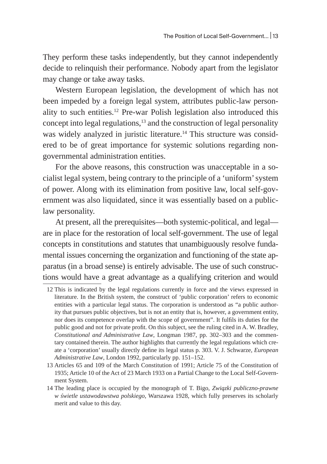They perform these tasks independently, but they cannot independently decide to relinquish their performance. Nobody apart from the legislator may change or take away tasks.

Western European legislation, the development of which has not been impeded by a foreign legal system, attributes public-law personality to such entities.12 Pre-war Polish legislation also introduced this concept into legal regulations, $13$  and the construction of legal personality was widely analyzed in juristic literature.<sup>14</sup> This structure was considered to be of great importance for systemic solutions regarding nongovernmental administration entities.

For the above reasons, this construction was unacceptable in a socialist legal system, being contrary to the principle of a 'uniform' system of power. Along with its elimination from positive law, local self-government was also liquidated, since it was essentially based on a publiclaw personality.

At present, all the prerequisites—both systemic-political, and legal are in place for the restoration of local self-government. The use of legal concepts in constitutions and statutes that unambiguously resolve fundamental issues concerning the organization and functioning of the state apparatus (in a broad sense) is entirely advisable. The use of such constructions would have a great advantage as a qualifying criterion and would

<sup>12</sup> This is indicated by the legal regulations currently in force and the views expressed in literature. In the British system, the construct of 'public corporation' refers to economic entities with a particular legal status. The corporation is understood as "a public authority that pursues public objectives, but is not an entity that is, however, a government entity, nor does its competence overlap with the scope of government". It fulfils its duties for the public good and not for private profit. On this subject, see the ruling cited in A. W. Bradley, *Constitutional and Administrative Law*, Longman 1987, pp. 302–303 and the commentary contained therein. The author highlights that currently the legal regulations which create a 'corporation' usually directly define its legal status p. 303. V. J. Schwarze, *European Administrative Law*, London 1992, particularly pp. 151–152.

<sup>13</sup> Articles 65 and 109 of the March Constitution of 1991; Article 75 of the Constitution of 1935; Article 10 of the Act of 23 March 1933 on a Partial Change to the Local Self-Government System.

<sup>14</sup> The leading place is occupied by the monograph of T. Bigo, *Związki publiczno-prawne w świetle ustawodawstwa polskiego*, Warszawa 1928, which fully preserves its scholarly merit and value to this day.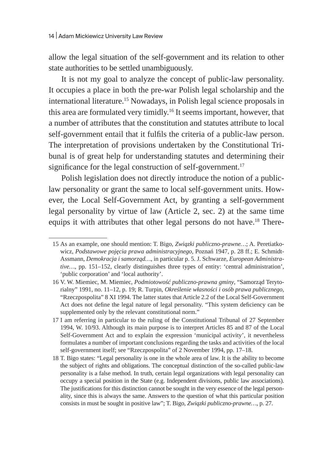allow the legal situation of the self-government and its relation to other state authorities to be settled unambiguously.

It is not my goal to analyze the concept of public-law personality. It occupies a place in both the pre-war Polish legal scholarship and the international literature.<sup>15</sup> Nowadays, in Polish legal science proposals in this area are formulated very timidly.16 It seems important, however, that a number of attributes that the constitution and statutes attribute to local self-government entail that it fulfils the criteria of a public-law person. The interpretation of provisions undertaken by the Constitutional Tribunal is of great help for understanding statutes and determining their significance for the legal construction of self-government.<sup>17</sup>

Polish legislation does not directly introduce the notion of a publiclaw personality or grant the same to local self-government units. However, the Local Self-Government Act, by granting a self-government legal personality by virtue of law (Article 2, sec. 2) at the same time equips it with attributes that other legal persons do not have.<sup>18</sup> There-

<sup>15</sup> As an example, one should mention: T. Bigo, *Związki publiczno-prawne…*; A. Peretiatkowicz, *Podstawowe pojęcia prawa administracyjnego*, Poznań 1947, p. 28 ff.; E. Schmidt-Assmann, *Demokracja i samorząd…*, in particular p. 5. J. Schwarze, *European Administrative…*, pp. 151–152, clearly distinguishes three types of entity: 'central administration', 'public corporation' and 'local authority'.

<sup>16</sup> V. W. Miemiec, M. Miemiec, *Podmiotowość publiczno-prawna gminy*, "Samorząd Terytorialny" 1991, no. 11–12, p. 19; R. Turpin, *Określenie własności i osób prawa publicznego*, "Rzeczpospolita" 8 XI 1994. The latter states that Article 2.2 of the Local Self-Government Act does not define the legal nature of legal personality. "This system deficiency can be supplemented only by the relevant constitutional norm."

<sup>17</sup> I am referring in particular to the ruling of the Constitutional Tribunal of 27 September 1994, W. 10/93. Although its main purpose is to interpret Articles 85 and 87 of the Local Self-Government Act and to explain the expression 'municipal activity', it nevertheless formulates a number of important conclusions regarding the tasks and activities of the local self-government itself; see "Rzeczpospolita" of 2 November 1994, pp. 17–18.

<sup>18</sup> T. Bigo states: "Legal personality is one in the whole area of law. It is the ability to become the subject of rights and obligations. The conceptual distinction of the so-called public-law personality is a false method. In truth, certain legal organizations with legal personality can occupy a special position in the State (e.g. Independent divisions, public law associations). The justifications for this distinction cannot be sought in the very essence of the legal personality, since this is always the same. Answers to the question of what this particular position consists in must be sought in positive law"; T. Bigo, *Związki publiczno-prawne…*, p. 27.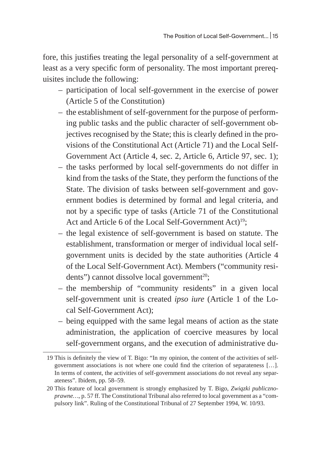fore, this justifies treating the legal personality of a self-government at least as a very specific form of personality. The most important prerequisites include the following:

- participation of local self-government in the exercise of power (Article 5 of the Constitution)
- the establishment of self-government for the purpose of performing public tasks and the public character of self-government objectives recognised by the State; this is clearly defined in the provisions of the Constitutional Act (Article 71) and the Local Self-Government Act (Article 4, sec. 2, Article 6, Article 97, sec. 1);
- the tasks performed by local self-governments do not differ in kind from the tasks of the State, they perform the functions of the State. The division of tasks between self-government and government bodies is determined by formal and legal criteria, and not by a specific type of tasks (Article 71 of the Constitutional Act and Article 6 of the Local Self-Government Act)<sup>19</sup>;
- the legal existence of self-government is based on statute. The establishment, transformation or merger of individual local selfgovernment units is decided by the state authorities (Article 4 of the Local Self-Government Act). Members ("community residents") cannot dissolve local government<sup>20</sup>;
- the membership of "community residents" in a given local self-government unit is created *ipso iure* (Article 1 of the Local Self-Government Act);
- being equipped with the same legal means of action as the state administration, the application of coercive measures by local self-government organs, and the execution of administrative du-

<sup>19</sup> This is definitely the view of T. Bigo: "In my opinion, the content of the activities of selfgovernment associations is not where one could find the criterion of separateness […]. In terms of content, the activities of self-government associations do not reveal any separateness". Ibidem, pp. 58–59.

<sup>20</sup> This feature of local government is strongly emphasized by T. Bigo, *Związki publicznoprawne…*, p. 57 ff. The Constitutional Tribunal also referred to local government as a "compulsory link". Ruling of the Constitutional Tribunal of 27 September 1994, W. 10/93.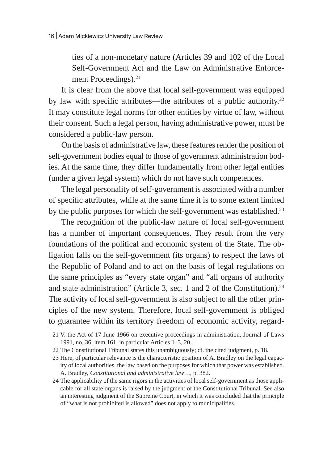ties of a non-monetary nature (Articles 39 and 102 of the Local Self-Government Act and the Law on Administrative Enforcement Proceedings).<sup>21</sup>

It is clear from the above that local self-government was equipped by law with specific attributes—the attributes of a public authority.<sup>22</sup> It may constitute legal norms for other entities by virtue of law, without their consent. Such a legal person, having administrative power, must be considered a public-law person.

On the basis of administrative law, these features render the position of self-government bodies equal to those of government administration bodies. At the same time, they differ fundamentally from other legal entities (under a given legal system) which do not have such competences.

The legal personality of self-government is associated with a number of specific attributes, while at the same time it is to some extent limited by the public purposes for which the self-government was established.<sup>23</sup>

The recognition of the public-law nature of local self-government has a number of important consequences. They result from the very foundations of the political and economic system of the State. The obligation falls on the self-government (its organs) to respect the laws of the Republic of Poland and to act on the basis of legal regulations on the same principles as "every state organ" and "all organs of authority and state administration" (Article 3, sec. 1 and 2 of the Constitution).<sup>24</sup> The activity of local self-government is also subject to all the other principles of the new system. Therefore, local self-government is obliged to guarantee within its territory freedom of economic activity, regard-

<sup>21</sup> V. the Act of 17 June 1966 on executive proceedings in administration, Journal of Laws 1991, no. 36, item 161, in particular Articles 1–3, 20.

<sup>22</sup> The Constitutional Tribunal states this unambiguously; cf. the cited judgment, p. 18.

<sup>23</sup> Here, of particular relevance is the characteristic position of A. Bradley on the legal capacity of local authorities, the law based on the purposes for which that power was established. A. Bradley, *Constitutional and administrative law*…, p. 382.

<sup>24</sup> The applicability of the same rigors in the activities of local self-government as those applicable for all state organs is raised by the judgment of the Constitutional Tribunal. See also an interesting judgment of the Supreme Court, in which it was concluded that the principle of "what is not prohibited is allowed" does not apply to municipalities.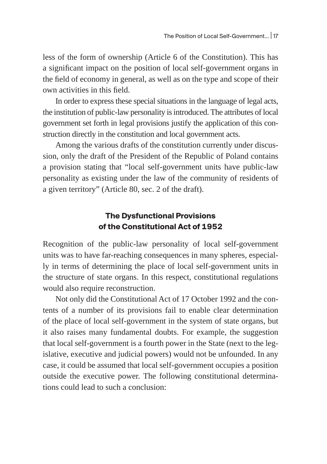less of the form of ownership (Article 6 of the Constitution). This has a significant impact on the position of local self-government organs in the field of economy in general, as well as on the type and scope of their own activities in this field.

In order to express these special situations in the language of legal acts, the institution of public-law personality is introduced. The attributes of local government set forth in legal provisions justify the application of this construction directly in the constitution and local government acts.

Among the various drafts of the constitution currently under discussion, only the draft of the President of the Republic of Poland contains a provision stating that "local self-government units have public-law personality as existing under the law of the community of residents of a given territory" (Article 80, sec. 2 of the draft).

# **The Dysfunctional Provisions of the Constitutional Act of 1952**

Recognition of the public-law personality of local self-government units was to have far-reaching consequences in many spheres, especially in terms of determining the place of local self-government units in the structure of state organs. In this respect, constitutional regulations would also require reconstruction.

Not only did the Constitutional Act of 17 October 1992 and the contents of a number of its provisions fail to enable clear determination of the place of local self-government in the system of state organs, but it also raises many fundamental doubts. For example, the suggestion that local self-government is a fourth power in the State (next to the legislative, executive and judicial powers) would not be unfounded. In any case, it could be assumed that local self-government occupies a position outside the executive power. The following constitutional determinations could lead to such a conclusion: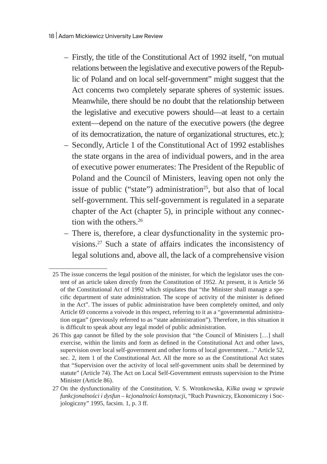- Firstly, the title of the Constitutional Act of 1992 itself, "on mutual relations between the legislative and executive powers of the Republic of Poland and on local self-government" might suggest that the Act concerns two completely separate spheres of systemic issues. Meanwhile, there should be no doubt that the relationship between the legislative and executive powers should—at least to a certain extent—depend on the nature of the executive powers (the degree of its democratization, the nature of organizational structures, etc.);
- Secondly, Article 1 of the Constitutional Act of 1992 establishes the state organs in the area of individual powers, and in the area of executive power enumerates: The President of the Republic of Poland and the Council of Ministers, leaving open not only the issue of public ("state") administration<sup>25</sup>, but also that of local self-government. This self-government is regulated in a separate chapter of the Act (chapter 5), in principle without any connection with the others.<sup>26</sup>
- There is, therefore, a clear dysfunctionality in the systemic provisions.27 Such a state of affairs indicates the inconsistency of legal solutions and, above all, the lack of a comprehensive vision

<sup>25</sup> The issue concerns the legal position of the minister, for which the legislator uses the content of an article taken directly from the Constitution of 1952. At present, it is Article 56 of the Constitutional Act of 1992 which stipulates that "the Minister shall manage a specific department of state administration. The scope of activity of the minister is defined in the Act". The issues of public administration have been completely omitted, and only Article 69 concerns a voivode in this respect, referring to it as a "governmental administration organ" (previously referred to as "state administration"). Therefore, in this situation it is difficult to speak about any legal model of public administration.

<sup>26</sup> This gap cannot be filled by the sole provision that "the Council of Ministers […] shall exercise, within the limits and form as defined in the Constitutional Act and other laws, supervision over local self-government and other forms of local government…" Article 52, sec. 2, item 1 of the Constitutional Act. All the more so as the Constitutional Act states that "Supervision over the activity of local self-government units shall be determined by statute" (Article 74). The Act on Local Self-Government entrusts supervision to the Prime Minister (Article 86).

<sup>27</sup> On the dysfunctionality of the Constitution, V. S. Wronkowska, *Kilka uwag w sprawie funkcjonalności i dysfun – kcjonalności konstytucji*, "Ruch Prawniczy, Ekonomiczny i Socjologiczny" 1995, facsim. 1, p. 3 ff.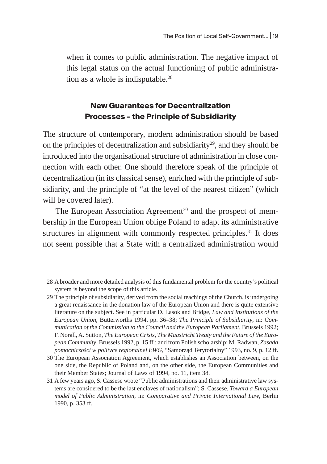when it comes to public administration. The negative impact of this legal status on the actual functioning of public administration as a whole is indisputable.<sup>28</sup>

### **New Guarantees for Decentralization Processes – the Principle of Subsidiarity**

The structure of contemporary, modern administration should be based on the principles of decentralization and subsidiarity<sup>29</sup>, and they should be introduced into the organisational structure of administration in close connection with each other. One should therefore speak of the principle of decentralization (in its classical sense), enriched with the principle of subsidiarity, and the principle of "at the level of the nearest citizen" (which will be covered later).

The European Association Agreement<sup>30</sup> and the prospect of membership in the European Union oblige Poland to adapt its administrative structures in alignment with commonly respected principles.<sup>31</sup> It does not seem possible that a State with a centralized administration would

<sup>28</sup> A broader and more detailed analysis of this fundamental problem for the country's political system is beyond the scope of this article.

<sup>29</sup> The principle of subsidiarity, derived from the social teachings of the Church, is undergoing a great renaissance in the donation law of the European Union and there is quite extensive literature on the subject. See in particular D. Lasok and Bridge, *Law and Institutions of the European Union*, Butterworths 1994, pp. 36–38; *The Principle of Subsidiarity*, in: *Communication of the Commission to the Council and the European Parliament*, Brussels 1992; F. Norall, A. Sutton, *The European Crisis, The Maastricht Treaty and the Future of the European Community*, Brussels 1992, p. 15 ff.; and from Polish scholarship: M. Radwan, *Zasada pomocniczości w polityce regionalnej EWG*, "Samorząd Terytorialny" 1993, no. 9, p. 12 ff.

<sup>30</sup> The European Association Agreement, which establishes an Association between, on the one side, the Republic of Poland and, on the other side, the European Communities and their Member States; Journal of Laws of 1994, no. 11, item 38.

<sup>31</sup> A few years ago, S. Cassese wrote "Public administrations and their administrative law systems are considered to be the last enclaves of nationalism"; S. Cassese, *Toward a European model of Public Administration*, in: *Comparative and Private International Law*, Berlin 1990, p. 353 ff.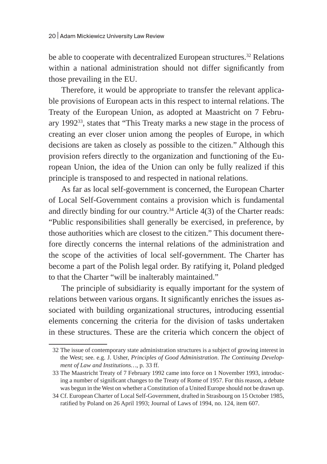be able to cooperate with decentralized European structures.<sup>32</sup> Relations within a national administration should not differ significantly from those prevailing in the EU.

Therefore, it would be appropriate to transfer the relevant applicable provisions of European acts in this respect to internal relations. The Treaty of the European Union, as adopted at Maastricht on 7 February 1992<sup>33</sup>, states that "This Treaty marks a new stage in the process of creating an ever closer union among the peoples of Europe, in which decisions are taken as closely as possible to the citizen." Although this provision refers directly to the organization and functioning of the European Union, the idea of the Union can only be fully realized if this principle is transposed to and respected in national relations.

As far as local self-government is concerned, the European Charter of Local Self-Government contains a provision which is fundamental and directly binding for our country.<sup>34</sup> Article 4(3) of the Charter reads: "Public responsibilities shall generally be exercised, in preference, by those authorities which are closest to the citizen." This document therefore directly concerns the internal relations of the administration and the scope of the activities of local self-government. The Charter has become a part of the Polish legal order. By ratifying it, Poland pledged to that the Charter "will be inalterably maintained."

The principle of subsidiarity is equally important for the system of relations between various organs. It significantly enriches the issues associated with building organizational structures, introducing essential elements concerning the criteria for the division of tasks undertaken in these structures. These are the criteria which concern the object of

<sup>32</sup> The issue of contemporary state administration structures is a subject of growing interest in the West; see. e.g. J. Usher, *Principles of Good Administration*. *The Continuing Development of Law and Institutions…*, p. 33 ff.

<sup>33</sup> The Maastricht Treaty of 7 February 1992 came into force on 1 November 1993, introducing a number of significant changes to the Treaty of Rome of 1957. For this reason, a debate was begun in the West on whether a Constitution of a United Europe should not be drawn up.

<sup>34</sup> Cf. European Charter of Local Self-Government, drafted in Strasbourg on 15 October 1985, ratified by Poland on 26 April 1993; Journal of Laws of 1994, no. 124, item 607.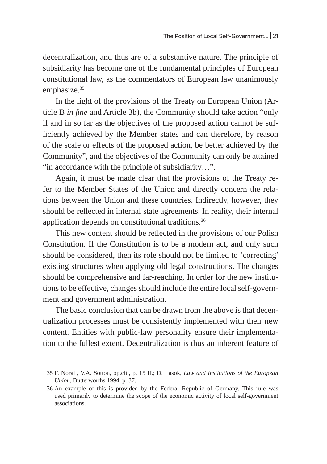decentralization, and thus are of a substantive nature. The principle of subsidiarity has become one of the fundamental principles of European constitutional law, as the commentators of European law unanimously emphasize.<sup>35</sup>

In the light of the provisions of the Treaty on European Union (Article В *in fine* and Article 3b), the Community should take action "only if and in so far as the objectives of the proposed action cannot be sufficiently achieved by the Member states and can therefore, by reason of the scale or effects of the proposed action, be better achieved by the Community", and the objectives of the Community can only be attained "in accordance with the principle of subsidiarity…".

Again, it must be made clear that the provisions of the Treaty refer to the Member States of the Union and directly concern the relations between the Union and these countries. Indirectly, however, they should be reflected in internal state agreements. In reality, their internal application depends on constitutional traditions.<sup>36</sup>

This new content should be reflected in the provisions of our Polish Constitution. If the Constitution is to be a modern act, and only such should be considered, then its role should not be limited to 'correcting' existing structures when applying old legal constructions. The changes should be comprehensive and far-reaching. In order for the new institutions to be effective, changes should include the entire local self-government and government administration.

The basic conclusion that can be drawn from the above is that decentralization processes must be consistently implemented with their new content. Entities with public-law personality ensure their implementation to the fullest extent. Decentralization is thus an inherent feature of

<sup>35</sup> F. Norall, V.A. Sotton, op.cit., p. 15 ff.; D. Lasok, *Law and Institutions of the European Union*, Butterworths 1994, p. 37.

<sup>36</sup> An example of this is provided by the Federal Republic of Germany. This rule was used primarily to determine the scope of the economic activity of local self-government associations.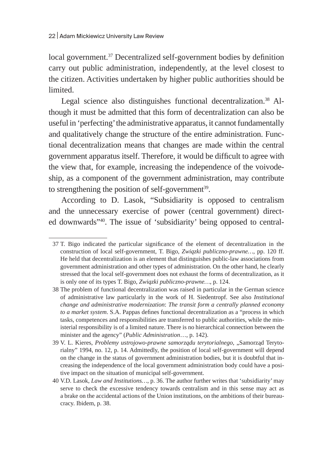local government.<sup>37</sup> Decentralized self-government bodies by definition carry out public administration, independently, at the level closest to the citizen. Activities undertaken by higher public authorities should be limited.

Legal science also distinguishes functional decentralization.<sup>38</sup> Although it must be admitted that this form of decentralization can also be useful in 'perfecting' the administrative apparatus, it cannot fundamentally and qualitatively change the structure of the entire administration. Functional decentralization means that changes are made within the central government apparatus itself. Therefore, it would be difficult to agree with the view that, for example, increasing the independence of the voivodeship, as a component of the government administration, may contribute to strengthening the position of self-government $39$ .

According to D. Lasok, "Subsidiarity is opposed to centralism and the unnecessary exercise of power (central government) directed downwards"40. The issue of 'subsidiarity' being opposed to central-

<sup>37</sup> T. Bigo indicated the particular significance of the element of decentralization in the construction of local self-government, T. Bigo, *Związki publiczno-prawne…*, pp. 120 ff. He held that decentralization is an element that distinguishes public-law associations from government administration and other types of administration. On the other hand, he clearly stressed that the local self-government does not exhaust the forms of decentralization, as it is only one of its types T. Bigo, *Związki publiczno-prawne…*, p. 124.

<sup>38</sup> The problem of functional decentralization was raised in particular in the German science of administrative law particularly in the work of H. Siedentropf. See also *Institutional change and administrative modernization*: *The transit form a centrally planned economy to a market system*. S.A. Pappas defines functional decentralization as a "process in which tasks, competences and responsibilities are transferred to public authorities, while the ministerial responsibility is of a limited nature. There is no hierarchical connection between the minister and the agency" (*Public Administration*…, p. 142).

<sup>39</sup> V. L. Kieres, *Problemy ustrojowo-prawne samorządu terytorialnego*, "Samorząd Terytorialny" 1994, no. 12, p. 14. Admittedly, the position of local self-government will depend on the change in the status of government administration bodies, but it is doubtful that increasing the independence of the local government administration body could have a positive impact on the situation of municipal self-government.

<sup>40</sup> V.D. Lasok, *Law and Institutions…*, p. 36. The author further writes that 'subsidiarity' may serve to check the excessive tendency towards centralism and in this sense may act as a brake on the accidental actions of the Union institutions, on the ambitions of their bureaucracy. Ibidem, p. 38.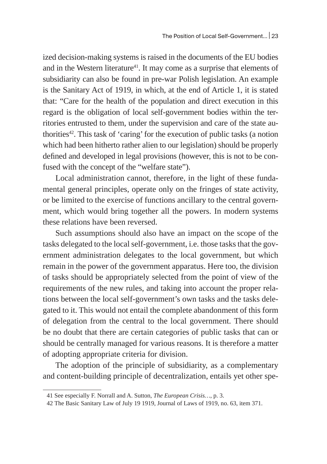ized decision-making systems is raised in the documents of the EU bodies and in the Western literature $41$ . It may come as a surprise that elements of subsidiarity can also be found in pre-war Polish legislation. An example is the Sanitary Act of 1919, in which, at the end of Article 1, it is stated that: "Care for the health of the population and direct execution in this regard is the obligation of local self-government bodies within the territories entrusted to them, under the supervision and care of the state authorities<sup>42</sup>. This task of 'caring' for the execution of public tasks (a notion which had been hitherto rather alien to our legislation) should be properly defined and developed in legal provisions (however, this is not to be confused with the concept of the "welfare state").

Local administration cannot, therefore, in the light of these fundamental general principles, operate only on the fringes of state activity, or be limited to the exercise of functions ancillary to the central government, which would bring together all the powers. In modern systems these relations have been reversed.

Such assumptions should also have an impact on the scope of the tasks delegated to the local self-government, i.e. those tasks that the government administration delegates to the local government, but which remain in the power of the government apparatus. Here too, the division of tasks should be appropriately selected from the point of view of the requirements of the new rules, and taking into account the proper relations between the local self-government's own tasks and the tasks delegated to it. This would not entail the complete abandonment of this form of delegation from the central to the local government. There should be no doubt that there are certain categories of public tasks that can or should be centrally managed for various reasons. It is therefore a matter of adopting appropriate criteria for division.

The adoption of the principle of subsidiarity, as a complementary and content-building principle of decentralization, entails yet other spe-

<sup>41</sup> See especially F. Norrall and A. Sutton, *The European Crisis…*, p. 3.

<sup>42</sup> The Basic Sanitary Law of July 19 1919, Journal of Laws of 1919, no. 63, item 371.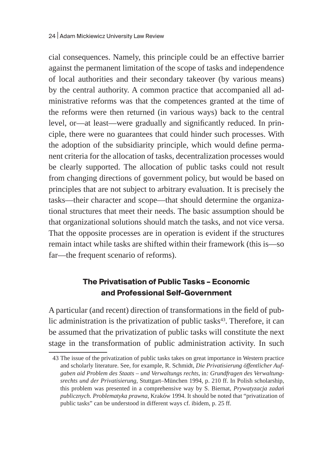cial consequences. Namely, this principle could be an effective barrier against the permanent limitation of the scope of tasks and independence of local authorities and their secondary takeover (by various means) by the central authority. A common practice that accompanied all administrative reforms was that the competences granted at the time of the reforms were then returned (in various ways) back to the central level, or—at least—were gradually and significantly reduced. In principle, there were no guarantees that could hinder such processes. With the adoption of the subsidiarity principle, which would define permanent criteria for the allocation of tasks, decentralization processes would be clearly supported. The allocation of public tasks could not result from changing directions of government policy, but would be based on principles that are not subject to arbitrary evaluation. It is precisely the tasks—their character and scope—that should determine the organizational structures that meet their needs. The basic assumption should be that organizational solutions should match the tasks, and not vice versa. That the opposite processes are in operation is evident if the structures remain intact while tasks are shifted within their framework (this is—so far—the frequent scenario of reforms).

# **The Privatisation of Public Tasks – Economic and Professional Self-Government**

A particular (and recent) direction of transformations in the field of public administration is the privatization of public tasks<sup>43</sup>. Therefore, it can be assumed that the privatization of public tasks will constitute the next stage in the transformation of public administration activity. In such

<sup>43</sup> The issue of the privatization of public tasks takes on great importance in Western practice and scholarly literature. See, for example, R. Schmidt, *Die Privatisierung öffentlicher Aufgaben aid Problem des Staats – und Verwaltungs rechts*, in*: Grundfragen des Verwaltungsrechts und der Privatisierung*, Stuttgart–München 1994, p. 210 ff. In Polish scholarship, this problem was presented in a comprehensive way by S. Biernat, *Prywatyzacja zadań publicznych. Problematyka prawna*, Kraków 1994. It should be noted that "privatization of public tasks" can be understood in different ways cf. ibidem, p. 25 ff.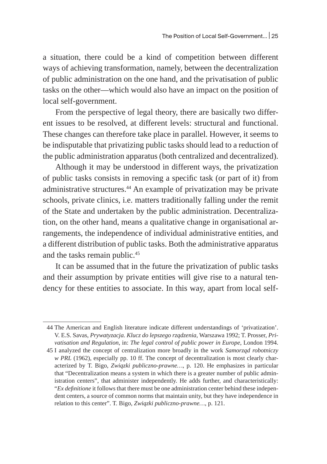a situation, there could be a kind of competition between different ways of achieving transformation, namely, between the decentralization of public administration on the one hand, and the privatisation of public tasks on the other—which would also have an impact on the position of local self-government.

From the perspective of legal theory, there are basically two different issues to be resolved, at different levels: structural and functional. These changes can therefore take place in parallel. However, it seems to be indisputable that privatizing public tasks should lead to a reduction of the public administration apparatus (both centralized and decentralized).

Although it may be understood in different ways, the privatization of public tasks consists in removing a specific task (or part of it) from administrative structures.44 An example of privatization may be private schools, private clinics, i.e. matters traditionally falling under the remit of the State and undertaken by the public administration. Decentralization, on the other hand, means a qualitative change in organisational arrangements, the independence of individual administrative entities, and a different distribution of public tasks. Both the administrative apparatus and the tasks remain public.<sup>45</sup>

It can be assumed that in the future the privatization of public tasks and their assumption by private entities will give rise to a natural tendency for these entities to associate. In this way, apart from local self-

<sup>44</sup> The American and English literature indicate different understandings of 'privatization'. V. E.S. Savas, *Prywatyzacja. Klucz do lepszego rządzenia*, Warszawa 1992; T. Prosser, *Privatisation and Regulation*, in: *The legal control of public power in Europe*, London 1994.

<sup>45</sup> I analyzed the concept of centralization more broadly in the work *Samorząd robotniczy w PRL* (1962), especially pp. 10 ff. The concept of decentralization is most clearly characterized by T. Bigo, *Związki publiczno-prawne…*, p. 120. He emphasizes in particular that "Decentralization means a system in which there is a greater number of public administration centers", that administer independently. He adds further, and characteristically: "*Ex definitione* it follows that there must be one administration center behind these independent centers, a source of common norms that maintain unity, but they have independence in relation to this center". T. Bigo, *Związki publiczno-prawne…*, p. 121.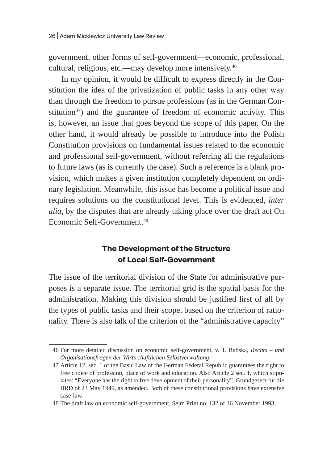government, other forms of self-government—economic, professional, cultural, religious, etc.—may develop more intensively.46

In my opinion, it would be difficult to express directly in the Constitution the idea of the privatization of public tasks in any other way than through the freedom to pursue professions (as in the German Constitution<sup>47</sup>) and the guarantee of freedom of economic activity. This is, however, an issue that goes beyond the scope of this paper. On the other hand, it would already be possible to introduce into the Polish Constitution provisions on fundamental issues related to the economic and professional self-government, without referring all the regulations to future laws (as is currently the case). Such a reference is a blank provision, which makes a given institution completely dependent on ordinary legislation. Meanwhile, this issue has become a political issue and requires solutions on the constitutional level. This is evidenced, *inter alia*, by the disputes that are already taking place over the draft act On Economic Self-Government.48

### **The Development of the Structure of Local Self-Government**

The issue of the territorial division of the State for administrative purposes is a separate issue. The territorial grid is the spatial basis for the administration. Making this division should be justified first of all by the types of public tasks and their scope, based on the criterion of rationality. There is also talk of the criterion of the "administrative capacity"

<sup>46</sup> For more detailed discussion on economic self-government, v. T. Rabska, *Rechts – und Organisationsfragen der Wirts chaftlichen Selbstverwaltung*.

<sup>47</sup> Article 12, sec. 1 of the Basic Law of the German Federal Republic guarantees the right to free choice of profession, place of work and education. Also Article 2 sec. 1, which stipulates: "Everyone has the right to free development of their personality". Grundgesetz für die BRD of 23 May 1949, as amended. Both of these constitutional provisions have extensive case-law.

<sup>48</sup> The draft law on economic self-government, Sejm Print no. 132 of 16 November 1993.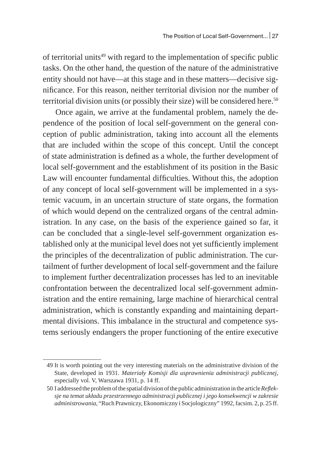of territorial units $49$  with regard to the implementation of specific public tasks. On the other hand, the question of the nature of the administrative entity should not have—at this stage and in these matters—decisive significance. For this reason, neither territorial division nor the number of territorial division units (or possibly their size) will be considered here.<sup>50</sup>

Once again, we arrive at the fundamental problem, namely the dependence of the position of local self-government on the general conception of public administration, taking into account all the elements that are included within the scope of this concept. Until the concept of state administration is defined as a whole, the further development of local self-government and the establishment of its position in the Basic Law will encounter fundamental difficulties. Without this, the adoption of any concept of local self-government will be implemented in a systemic vacuum, in an uncertain structure of state organs, the formation of which would depend on the centralized organs of the central administration. In any case, on the basis of the experience gained so far, it can be concluded that a single-level self-government organization established only at the municipal level does not yet sufficiently implement the principles of the decentralization of public administration. The curtailment of further development of local self-government and the failure to implement further decentralization processes has led to an inevitable confrontation between the decentralized local self-government administration and the entire remaining, large machine of hierarchical central administration, which is constantly expanding and maintaining departmental divisions. This imbalance in the structural and competence systems seriously endangers the proper functioning of the entire executive

<sup>49</sup> It is worth pointing out the very interesting materials on the administrative division of the State, developed in 1931. *Materiały Komisji dla usprawnienia administracji publicznej*, especially vol. V, Warszawa 1931, p. 14 ff.

<sup>50</sup> I addressed the problem of the spatial division of the public administration in the article *Refleksje na temat układu przestrzennego administracji publicznej i jego konsekwencji w zakresie administrowania*, "Ruch Prawniczy, Ekonomiczny i Socjologiczny" 1992, facsim. 2, p. 25 ff.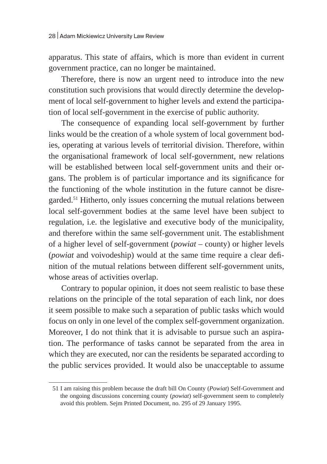apparatus. This state of affairs, which is more than evident in current government practice, can no longer be maintained.

Therefore, there is now an urgent need to introduce into the new constitution such provisions that would directly determine the development of local self-government to higher levels and extend the participation of local self-government in the exercise of public authority.

The consequence of expanding local self-government by further links would be the creation of a whole system of local government bodies, operating at various levels of territorial division. Therefore, within the organisational framework of local self-government, new relations will be established between local self-government units and their organs. The problem is of particular importance and its significance for the functioning of the whole institution in the future cannot be disregarded.51 Hitherto, only issues concerning the mutual relations between local self-government bodies at the same level have been subject to regulation, i.e. the legislative and executive body of the municipality, and therefore within the same self-government unit. The establishment of a higher level of self-government (*powiat –* county) or higher levels (*powiat* and voivodeship) would at the same time require a clear definition of the mutual relations between different self-government units, whose areas of activities overlap.

Contrary to popular opinion, it does not seem realistic to base these relations on the principle of the total separation of each link, nor does it seem possible to make such a separation of public tasks which would focus on only in one level of the complex self-government organization. Moreover, I do not think that it is advisable to pursue such an aspiration. The performance of tasks cannot be separated from the area in which they are executed, nor can the residents be separated according to the public services provided. It would also be unacceptable to assume

<sup>51</sup> I am raising this problem because the draft bill On County (*Powiat*) Self-Government and the ongoing discussions concerning county (*powiat*) self-government seem to completely avoid this problem. Sejm Printed Document, no. 295 of 29 January 1995.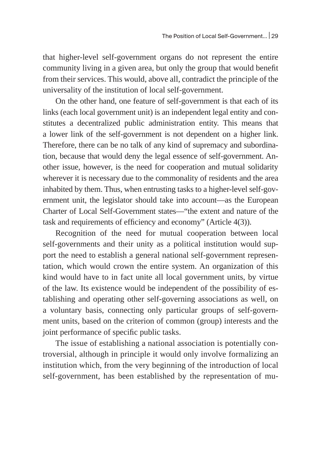that higher-level self-government organs do not represent the entire community living in a given area, but only the group that would benefit from their services. This would, above all, contradict the principle of the universality of the institution of local self-government.

On the other hand, one feature of self-government is that each of its links (each local government unit) is an independent legal entity and constitutes a decentralized public administration entity. This means that a lower link of the self-government is not dependent on a higher link. Therefore, there can be no talk of any kind of supremacy and subordination, because that would deny the legal essence of self-government. Another issue, however, is the need for cooperation and mutual solidarity wherever it is necessary due to the commonality of residents and the area inhabited by them. Thus, when entrusting tasks to a higher-level self-government unit, the legislator should take into account—as the European Charter of Local Self-Government states—"the extent and nature of the task and requirements of efficiency and economy" (Article 4(3)).

Recognition of the need for mutual cooperation between local self-governments and their unity as a political institution would support the need to establish a general national self-government representation, which would crown the entire system. An organization of this kind would have to in fact unite all local government units, by virtue of the law. Its existence would be independent of the possibility of establishing and operating other self-governing associations as well, on a voluntary basis, connecting only particular groups of self-government units, based on the criterion of common (group) interests and the joint performance of specific public tasks.

The issue of establishing a national association is potentially controversial, although in principle it would only involve formalizing an institution which, from the very beginning of the introduction of local self-government, has been established by the representation of mu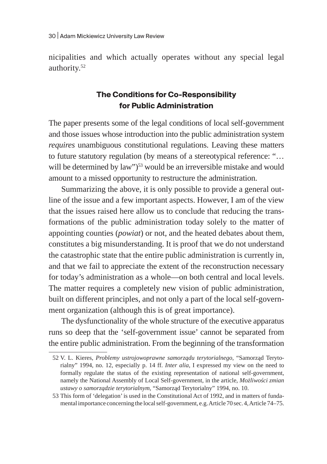nicipalities and which actually operates without any special legal authority.<sup>52</sup>

#### **The Conditions for Co-Responsibility for Public Administration**

The paper presents some of the legal conditions of local self-government and those issues whose introduction into the public administration system *requires* unambiguous constitutional regulations. Leaving these matters to future statutory regulation (by means of a stereotypical reference: "… will be determined by law")<sup>53</sup> would be an irreversible mistake and would amount to a missed opportunity to restructure the administration.

Summarizing the above, it is only possible to provide a general outline of the issue and a few important aspects. However, I am of the view that the issues raised here allow us to conclude that reducing the transformations of the public administration today solely to the matter of appointing counties (*powiat*) or not, and the heated debates about them, constitutes a big misunderstanding. It is proof that we do not understand the catastrophic state that the entire public administration is currently in, and that we fail to appreciate the extent of the reconstruction necessary for today's administration as a whole—on both central and local levels. The matter requires a completely new vision of public administration, built on different principles, and not only a part of the local self-government organization (although this is of great importance).

The dysfunctionality of the whole structure of the executive apparatus runs so deep that the 'self-government issue' cannot be separated from the entire public administration. From the beginning of the transformation

<sup>52</sup> V. L. Kieres, *Problemy ustrojowoprawne samorządu terytorialnego*, "Samorząd Terytorialny" 1994, no. 12, especially p. 14 ff. *Inter alia*, I expressed my view on the need to formally regulate the status of the existing representation of national self-government, namely the National Assembly of Local Self-government, in the article, *Możliwości zmian ustawy o samorządzie terytorialnym*, "Samorząd Terytorialny" 1994, no. 10.

<sup>53</sup> This form of 'delegation' is used in the Constitutional Act of 1992, and in matters of fundamental importance concerning the local self-government, e.g. Article 70 sec. 4, Article 74–75.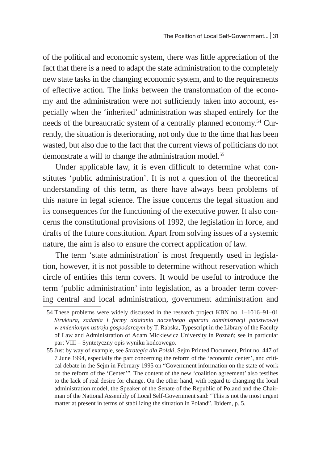of the political and economic system, there was little appreciation of the fact that there is a need to adapt the state administration to the completely new state tasks in the changing economic system, and to the requirements of effective action. The links between the transformation of the economy and the administration were not sufficiently taken into account, especially when the 'inherited' administration was shaped entirely for the needs of the bureaucratic system of a centrally planned economy.<sup>54</sup> Currently, the situation is deteriorating, not only due to the time that has been wasted, but also due to the fact that the current views of politicians do not demonstrate a will to change the administration model.<sup>55</sup>

Under applicable law, it is even difficult to determine what constitutes 'public administration'. It is not a question of the theoretical understanding of this term, as there have always been problems of this nature in legal science. The issue concerns the legal situation and its consequences for the functioning of the executive power. It also concerns the constitutional provisions of 1992, the legislation in force, and drafts of the future constitution. Apart from solving issues of a systemic nature, the aim is also to ensure the correct application of law.

The term 'state administration' is most frequently used in legislation, however, it is not possible to determine without reservation which circle of entities this term covers. It would be useful to introduce the term 'public administration' into legislation, as a broader term covering central and local administration, government administration and

<sup>54</sup> These problems were widely discussed in the research project KBN no. 1–1016–91–01 *Struktura, zadania i formy działania naczelnego aparatu administracji państwowej w zmienionym ustroju gospodarczym* by T. Rabska, Typescript in the Library of the Faculty of Law and Administration of Adam Mickiewicz University in Poznań; see in particular part VIII – Syntetyczny opis wyniku końcowego.

<sup>55</sup> Just by way of example, see *Strategia dla Polski*, Sejm Printed Document, Print no. 447 of 7 June 1994, especially the part concerning the reform of the 'economic center', and critical debate in the Sejm in February 1995 on "Government information on the state of work on the reform of the 'Center'". The content of the new 'coalition agreement' also testifies to the lack of real desire for change. On the other hand, with regard to changing the local administration model, the Speaker of the Senate of the Republic of Poland and the Chairman of the National Assembly of Local Self-Government said: "This is not the most urgent matter at present in terms of stabilizing the situation in Poland". Ibidem, p. 5.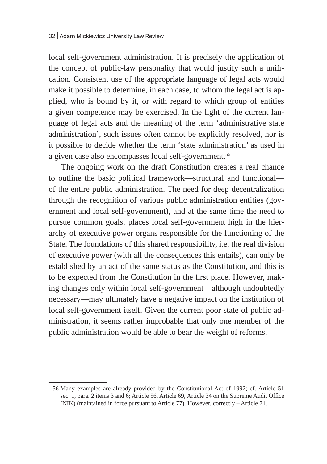local self-government administration. It is precisely the application of the concept of public-law personality that would justify such a unification. Consistent use of the appropriate language of legal acts would make it possible to determine, in each case, to whom the legal act is applied, who is bound by it, or with regard to which group of entities a given competence may be exercised. In the light of the current language of legal acts and the meaning of the term 'administrative state administration', such issues often cannot be explicitly resolved, nor is it possible to decide whether the term 'state administration' as used in a given case also encompasses local self-government.<sup>56</sup>

The ongoing work on the draft Constitution creates a real chance to outline the basic political framework—structural and functional of the entire public administration. The need for deep decentralization through the recognition of various public administration entities (government and local self-government), and at the same time the need to pursue common goals, places local self-government high in the hierarchy of executive power organs responsible for the functioning of the State. The foundations of this shared responsibility, i.e. the real division of executive power (with all the consequences this entails), can only be established by an act of the same status as the Constitution, and this is to be expected from the Constitution in the first place. However, making changes only within local self-government—although undoubtedly necessary—may ultimately have a negative impact on the institution of local self-government itself. Given the current poor state of public administration, it seems rather improbable that only one member of the public administration would be able to bear the weight of reforms.

<sup>56</sup> Many examples are already provided by the Constitutional Act of 1992; cf. Article 51 sec. 1, para. 2 items 3 and 6; Article 56, Article 69, Article 34 on the Supreme Audit Office (NIK) (maintained in force pursuant to Article 77). However, correctly – Article 71.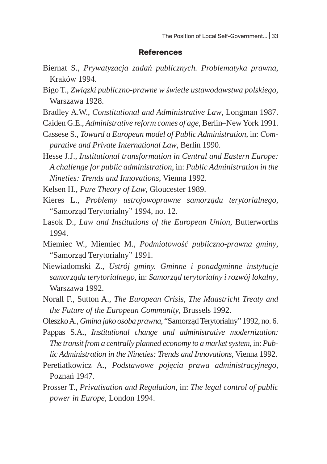#### **References**

- Biernat S., *Prywatyzacja zadań publicznych. Problematyka prawna*, Kraków 1994.
- Bigo T., *Związki publiczno-prawne w świetle ustawodawstwa polskiego*, Warszawa 1928.
- Bradley A.W., *Constitutional and Administrative Law*, Longman 1987.
- Caiden G.E., *Administrative reform comes of age*, Berlin–New York 1991.
- Cassese S., *Toward a European model of Public Administration*, in: *Comparative and Private International Law*, Berlin 1990.
- Hesse J.J., *Institutional transformation in Central and Eastern Europe: A challenge for public administration*, in: *Public Administration in the Nineties: Trends and Innovations*, Vienna 1992.
- Kelsen H., *Pure Theory of Law*, Gloucester 1989.
- Kieres L., *Problemy ustrojowoprawne samorządu terytorialnego*, "Samorząd Terytorialny" 1994, no. 12.
- Lasok D., *Law and Institutions of the European Union*, Butterworths 1994.
- Miemiec W., Miemiec M., *Podmiotowość publiczno-prawna gminy*, "Samorząd Terytorialny" 1991.
- Niewiadomski Z., *Ustrój gminy. Gminne i ponadgminne instytucje samorządu terytorialnego*, in: *Samorząd terytorialny i rozwój lokalny*, Warszawa 1992.
- Norall F., Sutton A., *The European Crisis, The Maastricht Treaty and the Future of the European Community*, Brussels 1992.
- Oleszko A., *Gmina jako osoba prawna*, "Samorząd Terytorialny" 1992, no. 6.
- Pappas S.A., *Institutional change and administrative modernization: The transit from a centrally planned economy to a market system*, in: *Public Administration in the Nineties: Trends and Innovations*, Vienna 1992.
- Peretiatkowicz A., *Podstawowe pojęcia prawa administracyjnego*, Poznań 1947.
- Prosser T., *Privatisation and Regulation*, in: *The legal control of public power in Europe*, London 1994.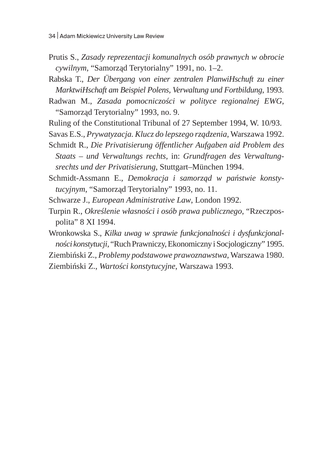Prutis S., *Zasady reprezentacji komunalnych osób prawnych w obrocie cywilnym*, "Samorząd Terytorialny" 1991, no. 1–2.

Rabska T., *Der Übergang von einer zentralen PlanwiHschuft zu einer MarktwiHschaft am Beispiel Polens, Verwaltung und Fortbildung*, 1993.

Radwan M., *Zasada pomocniczości w polityce regionalnej EWG*, "Samorząd Terytorialny" 1993, no. 9.

Ruling of the Constitutional Tribunal of 27 September 1994, W. 10/93.

Savas E.S., *Prywatyzacja. Klucz do lepszego rządzenia*, Warszawa 1992.

Schmidt R., *Die Privatisierung öffentlicher Aufgaben aid Problem des Staats – und Verwaltungs rechts*, in: *Grundfragen des Verwaltungsrechts und der Privatisierung*, Stuttgart–München 1994.

Schmidt-Assmann E., *Demokracja i samorząd w państwie konstytucyjnym*, "Samorząd Terytorialny" 1993, no. 11.

Schwarze J., *European Administrative Law*, London 1992.

Turpin R., *Określenie własności i osób prawa publicznego*, "Rzeczpospolita" 8 XI 1994.

Wronkowska S., *Kilka uwag w sprawie funkcjonalności i dysfunkcjonalności konstytucji*, "Ruch Prawniczy, Ekonomiczny iSocjologiczny" 1995.

Ziembiński Z., *Problemy podstawowe prawoznawstwa*, Warszawa 1980.

Ziembiński Z., *Wartości konstytucyjne*, Warszawa 1993.